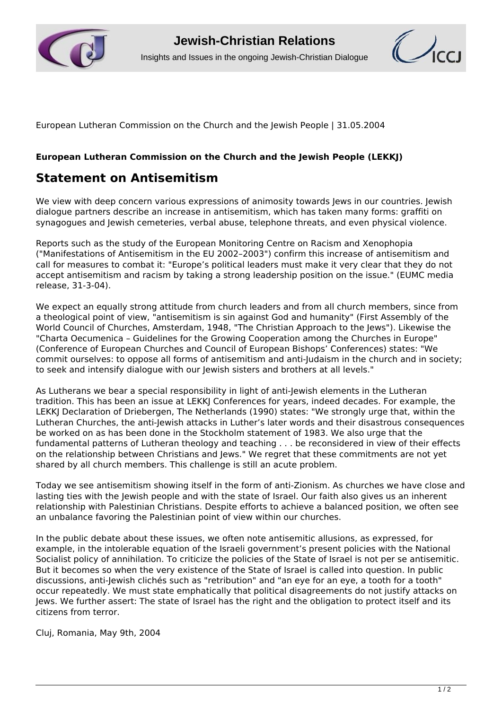



European Lutheran Commission on the Church and the Jewish People | 31.05.2004

## **European Lutheran Commission on the Church and the Jewish People (LEKKJ)**

## **Statement on Antisemitism**

We view with deep concern various expressions of animosity towards Jews in our countries. Jewish dialogue partners describe an increase in antisemitism, which has taken many forms: graffiti on synagogues and Jewish cemeteries, verbal abuse, telephone threats, and even physical violence.

Reports such as the study of the European Monitoring Centre on Racism and Xenophopia ("Manifestations of Antisemitism in the EU 2002–2003") confirm this increase of antisemitism and call for measures to combat it: "Europe's political leaders must make it very clear that they do not accept antisemitism and racism by taking a strong leadership position on the issue." (EUMC media release, 31-3-04).

We expect an equally strong attitude from church leaders and from all church members, since from a theological point of view, "antisemitism is sin against God and humanity" (First Assembly of the World Council of Churches, Amsterdam, 1948, "The Christian Approach to the Jews"). Likewise the "Charta Oecumenica – Guidelines for the Growing Cooperation among the Churches in Europe" (Conference of European Churches and Council of European Bishops' Conferences) states: "We commit ourselves: to oppose all forms of antisemitism and anti-Judaism in the church and in society; to seek and intensify dialogue with our Jewish sisters and brothers at all levels."

As Lutherans we bear a special responsibility in light of anti-Jewish elements in the Lutheran tradition. This has been an issue at LEKKJ Conferences for years, indeed decades. For example, the LEKKJ Declaration of Driebergen, The Netherlands (1990) states: "We strongly urge that, within the Lutheran Churches, the anti-Jewish attacks in Luther's later words and their disastrous consequences be worked on as has been done in the Stockholm statement of 1983. We also urge that the fundamental patterns of Lutheran theology and teaching . . . be reconsidered in view of their effects on the relationship between Christians and Jews." We regret that these commitments are not yet shared by all church members. This challenge is still an acute problem.

Today we see antisemitism showing itself in the form of anti-Zionism. As churches we have close and lasting ties with the Jewish people and with the state of Israel. Our faith also gives us an inherent relationship with Palestinian Christians. Despite efforts to achieve a balanced position, we often see an unbalance favoring the Palestinian point of view within our churches.

In the public debate about these issues, we often note antisemitic allusions, as expressed, for example, in the intolerable equation of the Israeli government's present policies with the National Socialist policy of annihilation. To criticize the policies of the State of Israel is not per se antisemitic. But it becomes so when the very existence of the State of Israel is called into question. In public discussions, anti-Jewish clichés such as "retribution" and "an eye for an eye, a tooth for a tooth" occur repeatedly. We must state emphatically that political disagreements do not justify attacks on Jews. We further assert: The state of Israel has the right and the obligation to protect itself and its citizens from terror.

Cluj, Romania, May 9th, 2004